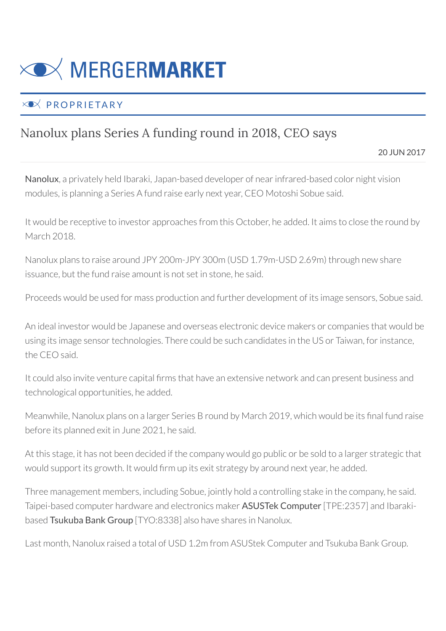

## $\times$  PROPRIETARY

## Nanolux plans Series A funding round in 2018, CEO says

20 JUN 2017

Nanolux, a privately held Ibaraki, Japan-based developer of near infrared-based color night vision modules, is planning a Series A fund raise early next year, CEO Motoshi Sobue said.

It would be receptive to investor approaches from this October, he added. It aims to close the round by March 2018.

Nanolux plans to raise around JPY 200m-JPY 300m (USD 1.79m-USD 2.69m) through new share issuance, but the fund raise amount is not set in stone, he said.

Proceeds would be used for mass production and further development of its image sensors, Sobue said.

An ideal investor would be Japanese and overseas electronic device makers or companies that would be using its image sensor technologies. There could be such candidates in the US or Taiwan, for instance, the CEO said.

It could also invite venture capital firms that have an extensive network and can present business and technological opportunities, he added.

Meanwhile, Nanolux plans on a larger Series B round by March 2019, which would be its final fund raise before its planned exit in June 2021, he said.

At this stage, it has not been decided if the company would go public or be sold to a larger strategic that would support its growth. It would firm up its exit strategy by around next year, he added.

Three management members, including Sobue, jointly hold a controlling stake in the company, he said. Taipei-based computer hardware and electronics maker ASUSTek Computer [TPE:2357] and Ibarakibased Tsukuba Bank Group [TYO:8338] also have shares in Nanolux.

Last month, Nanolux raised a total of USD 1.2m from ASUStek Computer and Tsukuba Bank Group.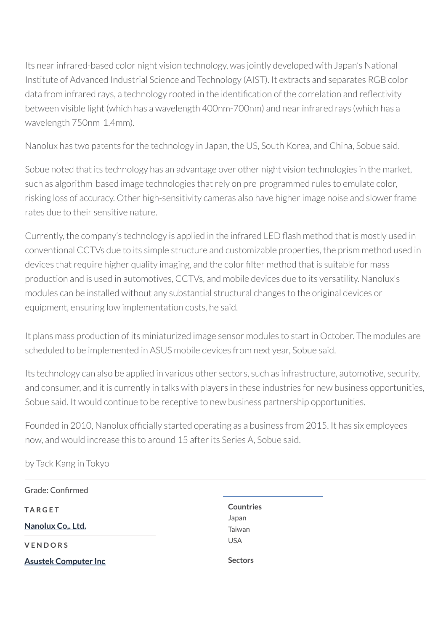Its near infrared-based color night vision technology, was jointly developed with Japan's National Institute of Advanced Industrial Science and Technology (AIST). It extracts and separates RGB color data from infrared rays, a technology rooted in the identification of the correlation and reflectivity between visible light (which has a wavelength 400nm-700nm) and near infrared rays (which has a wavelength 750nm-1.4mm).

Nanolux has two patents for the technology in Japan, the US, South Korea, and China, Sobue said.

Sobue noted that its technology has an advantage over other night vision technologies in the market, such as algorithm-based image technologies that rely on pre-programmed rules to emulate color, risking loss of accuracy. Other high-sensitivity cameras also have higher image noise and slower frame rates due to their sensitive nature.

Currently, the company's technology is applied in the infrared LED flash method that is mostly used in conventional CCTVs due to its simple structure and customizable properties, the prism method used in devices that require higher quality imaging, and the color filter method that is suitable for mass production and is used in automotives, CCTVs, and mobile devices due to its versatility. Nanolux's modules can be installed without any substantial structural changes to the original devices or equipment, ensuring low implementation costs, he said.

It plans mass production of its miniaturized image sensor modules to start in October. The modules are scheduled to be implemented in ASUS mobile devices from next year, Sobue said.

Its technology can also be applied in various other sectors, such as infrastructure, automotive, security, and consumer, and it is currently in talks with players in these industries for new business opportunities, Sobue said. It would continue to be receptive to new business partnership opportunities.

Founded in 2010, Nanolux officially started operating as a business from 2015. It has six employees now, and would increase this to around 15 after its Series A, Sobue said.

by Tack Kang in Tokyo

| Grade: Confirmed            |                  |
|-----------------------------|------------------|
| <b>TARGET</b>               | <b>Countries</b> |
| Nanolux Co., Ltd.           | Japan            |
|                             | Taiwan           |
| VENDORS                     | <b>USA</b>       |
| <b>Asustek Computer Inc</b> | <b>Sectors</b>   |